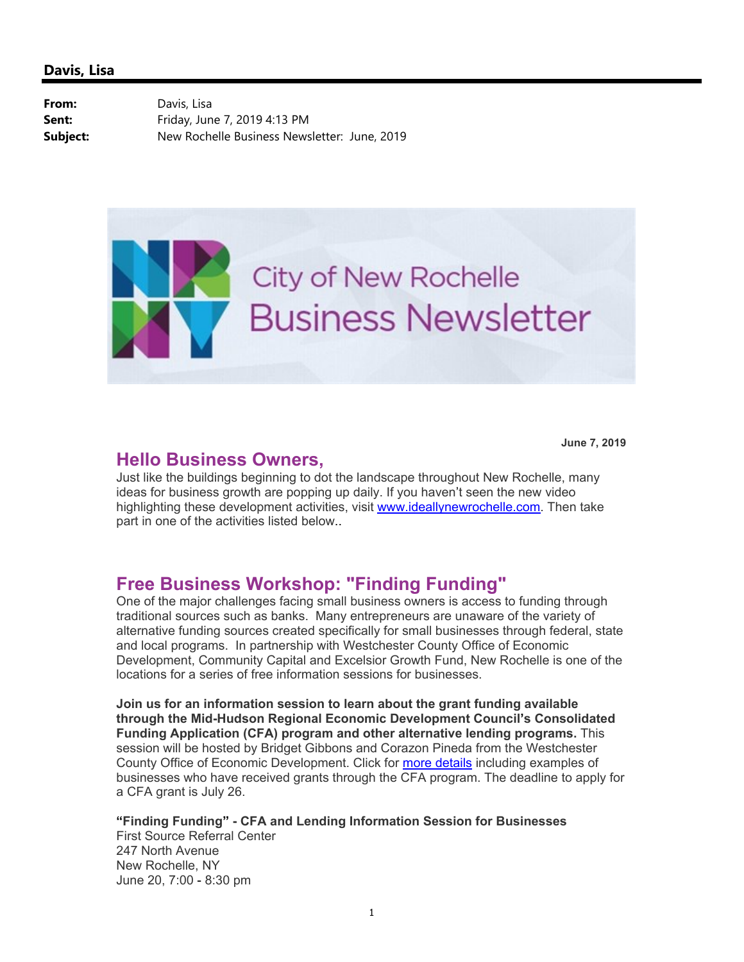**From:** Davis, Lisa

**Sent:** Friday, June 7, 2019 4:13 PM **Subject:** New Rochelle Business Newsletter: June, 2019



### **Hello Business Owners,**

**June 7, 2019**

Just like the buildings beginning to dot the landscape throughout New Rochelle, many ideas for business growth are popping up daily. If you haven't seen the new video highlighting these development activities, visit www.ideallynewrochelle.com. Then take part in one of the activities listed below..

### **Free Business Workshop: "Finding Funding"**

One of the major challenges facing small business owners is access to funding through traditional sources such as banks. Many entrepreneurs are unaware of the variety of alternative funding sources created specifically for small businesses through federal, state and local programs. In partnership with Westchester County Office of Economic Development, Community Capital and Excelsior Growth Fund, New Rochelle is one of the locations for a series of free information sessions for businesses.

**Join us for an information session to learn about the grant funding available through the Mid-Hudson Regional Economic Development Council's Consolidated Funding Application (CFA) program and other alternative lending programs.** This session will be hosted by Bridget Gibbons and Corazon Pineda from the Westchester County Office of Economic Development. Click for [more details](https://www3.westchestergov.com/home/all-press-releases/8029-informational-workshop-to-be-held-june-5-in-westchester-county-for-next-round-of-mid-hudson-consolidated-funding-application) including examples of businesses who have received grants through the CFA program. The deadline to apply for a CFA grant is July 26.

**"Finding Funding" - CFA and Lending Information Session for Businesses**

First Source Referral Center 247 North Avenue New Rochelle, NY June 20, 7:00 - 8:30 pm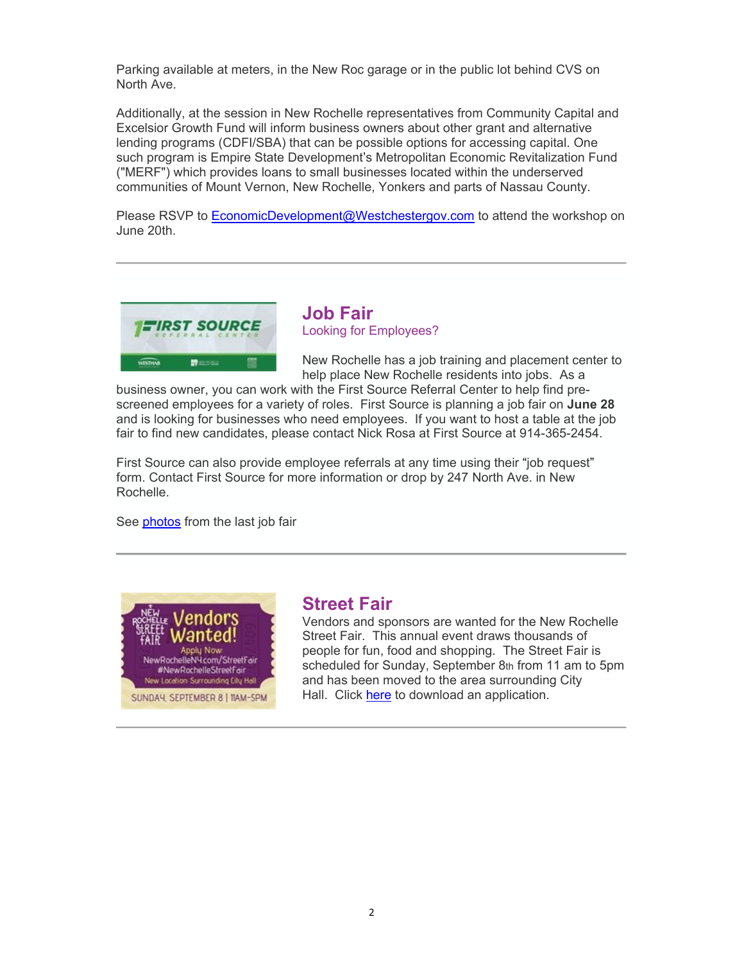Parking available at meters, in the New Roc garage or in the public lot behind CVS on North Ave.

Additionally, at the session in New Rochelle representatives from Community Capital and Excelsior Growth Fund will inform business owners about other grant and alternative lending programs (CDFI/SBA) that can be possible options for accessing capital. One such program is Empire State Development's Metropolitan Economic Revitalization Fund ("MERF") which provides loans to small businesses located within the underserved communities of Mount Vernon, New Rochelle, Yonkers and parts of Nassau County.

Please RSVP to EconomicDevelopment@Westchestergov.com to attend the workshop on June 20th.



**Job Fair** Looking for Employees?

New Rochelle has a job training and placement center to help place New Rochelle residents into jobs. As a

business owner, you can work with the First Source Referral Center to help find prescreened employees for a variety of roles. First Source is planning a job fair on **June 28** and is looking for businesses who need employees. If you want to host a table at the job fair to find new candidates, please contact Nick Rosa at First Source at 914-365-2454.

First Source can also provide employee referrals at any time using their "job request" form. Contact First Source for more information or drop by 247 North Ave. in New Rochelle.

See [photos](https://www.newrochelleny.com/gallery.aspx?AID=158) from the last job fair



#### **Street Fair**

Vendors and sponsors are wanted for the New Rochelle Street Fair. This annual event draws thousands of people for fun, food and shopping. The Street Fair is scheduled for Sunday, September 8th from 11 am to 5pm and has been moved to the area surrounding City Hall. Click [here](https://www.newrochelleny.com/995/New-Rochelle-Street-Fair) to download an application.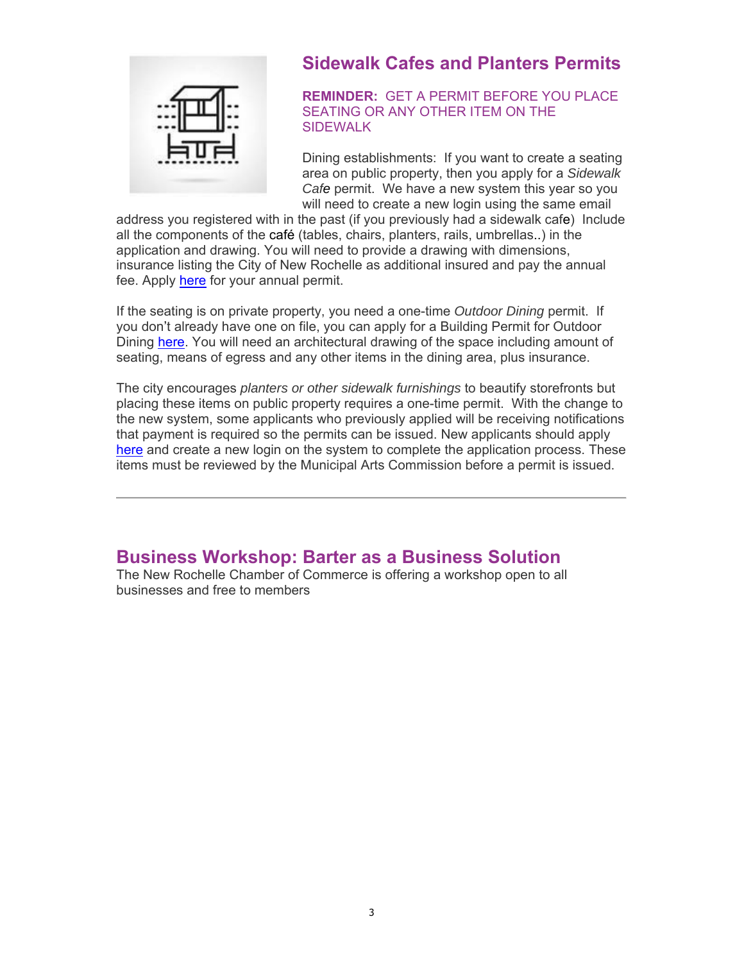

# **Sidewalk Cafes and Planters Permits**

**REMINDER:** GET A PERMIT BEFORE YOU PLACE SEATING OR ANY OTHER ITEM ON THE **SIDEWALK** 

Dining establishments: If you want to create a seating area on public property, then you apply for a *Sidewalk Cafe* permit. We have a new system this year so you will need to create a new login using the same email

address you registered with in the past (if you previously had a sidewalk cafe) Include all the components of the café (tables, chairs, planters, rails, umbrellas..) in the application and drawing. You will need to provide a drawing with dimensions, insurance listing the City of New Rochelle as additional insured and pay the annual fee. Apply [here](https://newrochelleny.com/1468/Sidewalk-Cafe-Permits) for your annual permit.

If the seating is on private property, you need a one-time *Outdoor Dining* permit. If you don't already have one on file, you can apply for a Building Permit for Outdoor Dining [here](https://epropertyportal.com/). You will need an architectural drawing of the space including amount of seating, means of egress and any other items in the dining area, plus insurance.

The city encourages *planters or other sidewalk furnishings* to beautify storefronts but placing these items on public property requires a one-time permit. With the change to the new system, some applicants who previously applied will be receiving notifications that payment is required so the permits can be issued. New applicants should apply [here](https://epropertyportal.com/) and create a new login on the system to complete the application process. These items must be reviewed by the Municipal Arts Commission before a permit is issued.

### **Business Workshop: Barter as a Business Solution**

The New Rochelle Chamber of Commerce is offering a workshop open to all businesses and free to members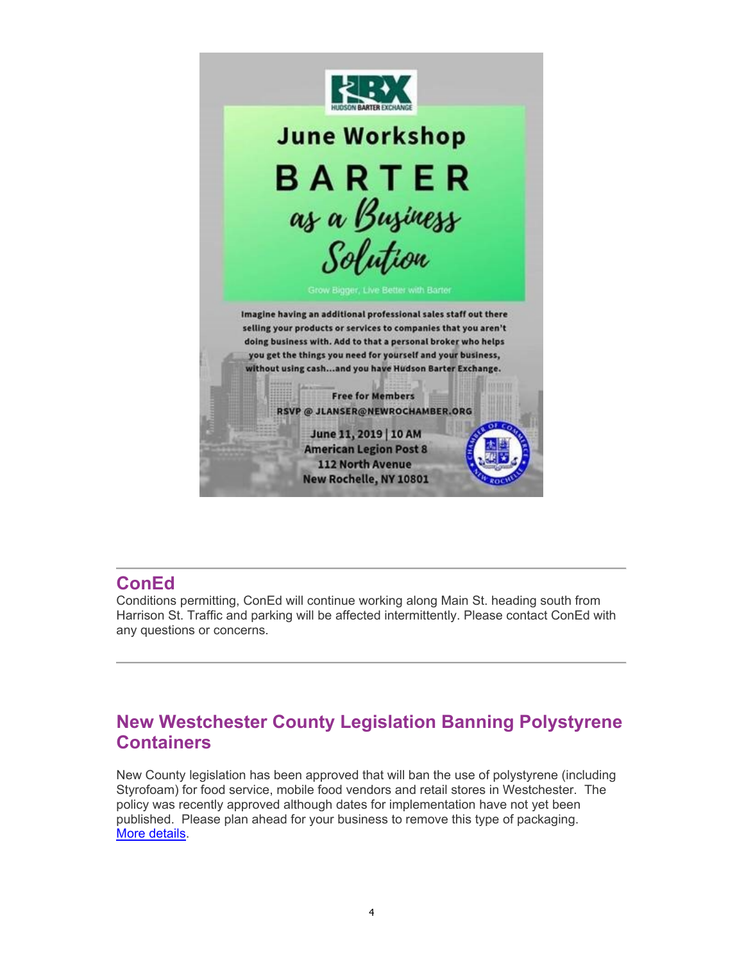

# **ConEd**

Conditions permitting, ConEd will continue working along Main St. heading south from Harrison St. Traffic and parking will be affected intermittently. Please contact ConEd with any questions or concerns.

# **New Westchester County Legislation Banning Polystyrene Containers**

New County legislation has been approved that will ban the use of polystyrene (including Styrofoam) for food service, mobile food vendors and retail stores in Westchester. The policy was recently approved although dates for implementation have not yet been published. Please plan ahead for your business to remove this type of packaging. [More details.](https://www.westchesterlegislators.com/newsroom/3035-board-votes-to-regulate-polystyrene-foam-food-containers)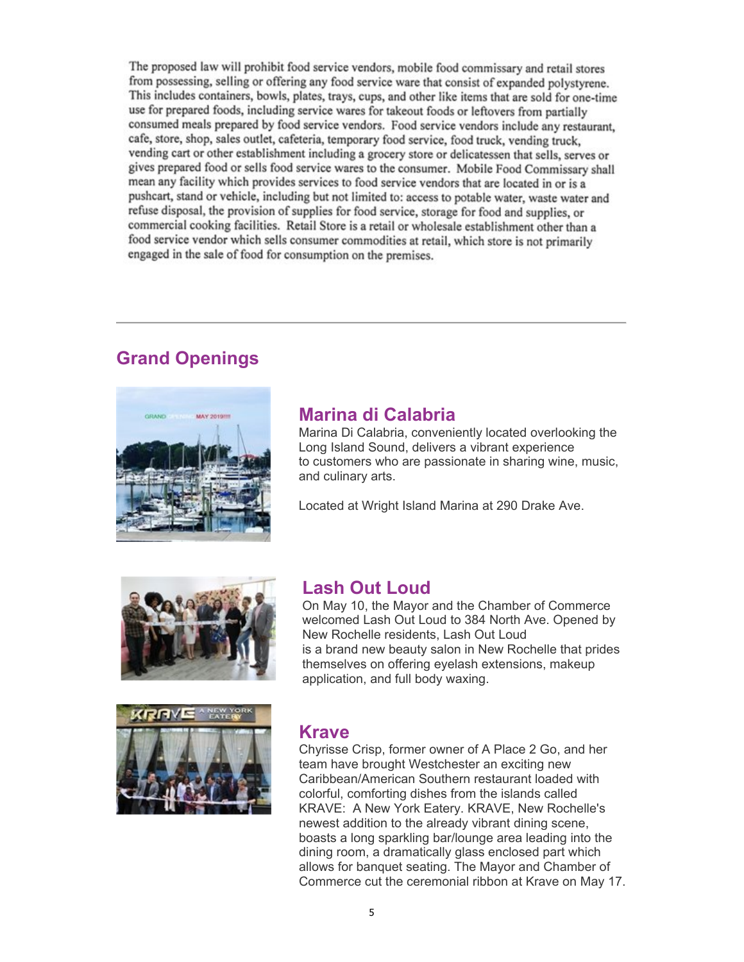The proposed law will prohibit food service vendors, mobile food commissary and retail stores from possessing, selling or offering any food service ware that consist of expanded polystyrene. This includes containers, bowls, plates, trays, cups, and other like items that are sold for one-time use for prepared foods, including service wares for takeout foods or leftovers from partially consumed meals prepared by food service vendors. Food service vendors include any restaurant, cafe, store, shop, sales outlet, cafeteria, temporary food service, food truck, vending truck, vending cart or other establishment including a grocery store or delicatessen that sells, serves or gives prepared food or sells food service wares to the consumer. Mobile Food Commissary shall mean any facility which provides services to food service vendors that are located in or is a pushcart, stand or vehicle, including but not limited to: access to potable water, waste water and refuse disposal, the provision of supplies for food service, storage for food and supplies, or commercial cooking facilities. Retail Store is a retail or wholesale establishment other than a food service vendor which sells consumer commodities at retail, which store is not primarily engaged in the sale of food for consumption on the premises.

# **Grand Openings**



## **Marina di Calabria**

Marina Di Calabria, conveniently located overlooking the Long Island Sound, delivers a vibrant experience to customers who are passionate in sharing wine, music, and culinary arts.

Located at Wright Island Marina at 290 Drake Ave.



### **Lash Out Loud**

On May 10, the Mayor and the Chamber of Commerce welcomed Lash Out Loud to 384 North Ave. Opened by New Rochelle residents, Lash Out Loud is a brand new beauty salon in New Rochelle that prides themselves on offering eyelash extensions, makeup application, and full body waxing.



#### **Krave**

Chyrisse Crisp, former owner of A Place 2 Go, and her team have brought Westchester an exciting new Caribbean/American Southern restaurant loaded with colorful, comforting dishes from the islands called KRAVE: A New York Eatery. KRAVE, New Rochelle's newest addition to the already vibrant dining scene, boasts a long sparkling bar/lounge area leading into the dining room, a dramatically glass enclosed part which allows for banquet seating. The Mayor and Chamber of Commerce cut the ceremonial ribbon at Krave on May 17.